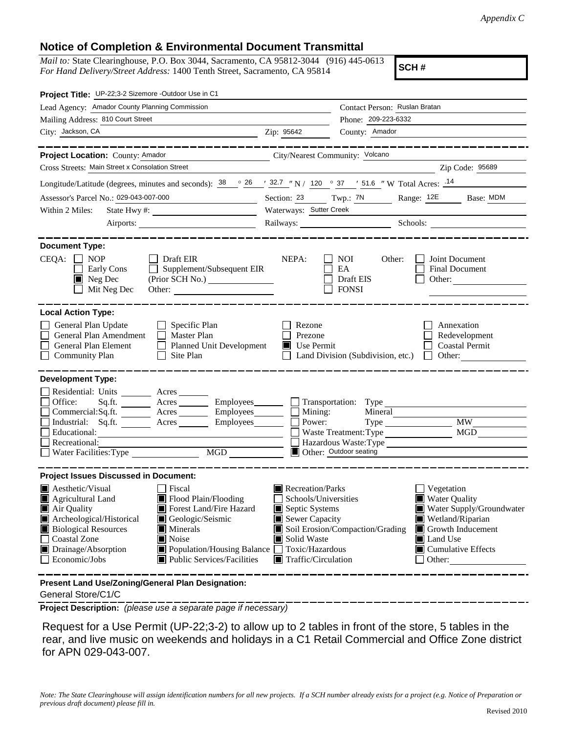## **Notice of Completion & Environmental Document Transmittal**

*Mail to:* State Clearinghouse, P.O. Box 3044, Sacramento, CA 95812-3044 (916) 445-0613 *For Hand Delivery/Street Address:* 1400 Tenth Street, Sacramento, CA 95814

**SCH #**

| Project Title: UP-22;3-2 Sizemore -Outdoor Use in C1                                                                                                                                                                                                                                                                                                                                                              |                                                                                                                                                  |                                                                               |                                                                                                                                                                           |
|-------------------------------------------------------------------------------------------------------------------------------------------------------------------------------------------------------------------------------------------------------------------------------------------------------------------------------------------------------------------------------------------------------------------|--------------------------------------------------------------------------------------------------------------------------------------------------|-------------------------------------------------------------------------------|---------------------------------------------------------------------------------------------------------------------------------------------------------------------------|
| Lead Agency: Amador County Planning Commission                                                                                                                                                                                                                                                                                                                                                                    |                                                                                                                                                  | Contact Person: Ruslan Bratan                                                 |                                                                                                                                                                           |
| Mailing Address: 810 Court Street                                                                                                                                                                                                                                                                                                                                                                                 | Phone: 209-223-6332                                                                                                                              |                                                                               |                                                                                                                                                                           |
| City: Jackson, CA                                                                                                                                                                                                                                                                                                                                                                                                 | Zip: 95642                                                                                                                                       | County: Amador                                                                |                                                                                                                                                                           |
|                                                                                                                                                                                                                                                                                                                                                                                                                   |                                                                                                                                                  |                                                                               |                                                                                                                                                                           |
| Project Location: County: Amador<br>City/Nearest Community: Volcano                                                                                                                                                                                                                                                                                                                                               |                                                                                                                                                  |                                                                               |                                                                                                                                                                           |
| Cross Streets: Main Street x Consolation Street                                                                                                                                                                                                                                                                                                                                                                   |                                                                                                                                                  |                                                                               | Zip Code: 95689                                                                                                                                                           |
| Longitude/Latitude (degrees, minutes and seconds): $\frac{38}{100}$ $\frac{26}{100}$ / $\frac{32.7}{100}$ / 120 $\degree$ 37 / 51.6 "W Total Acres: $\frac{14}{100}$                                                                                                                                                                                                                                              |                                                                                                                                                  |                                                                               |                                                                                                                                                                           |
| Assessor's Parcel No.: 029-043-007-000<br><u> 1990 - Johann Barbara, martxa a</u>                                                                                                                                                                                                                                                                                                                                 |                                                                                                                                                  | Section: 23 Twp.: 7N                                                          | Range: 12E<br>Base: MDM                                                                                                                                                   |
| Within 2 Miles:                                                                                                                                                                                                                                                                                                                                                                                                   | Waterways: Sutter Creek                                                                                                                          |                                                                               |                                                                                                                                                                           |
|                                                                                                                                                                                                                                                                                                                                                                                                                   |                                                                                                                                                  |                                                                               | Railways: Schools: Schools:                                                                                                                                               |
| <b>Document Type:</b><br>$CEQA: \Box NOP$<br>$\Box$ Draft EIR<br>$\Box$<br>Supplement/Subsequent EIR<br>Early Cons<br>$\blacksquare$ Neg Dec<br>Mit Neg Dec<br>Other:                                                                                                                                                                                                                                             | NEPA:                                                                                                                                            | <b>NOI</b><br>Other:<br>EA<br>Draft EIS<br><b>FONSI</b>                       | Joint Document<br>Final Document<br>Other:                                                                                                                                |
| <b>Local Action Type:</b><br>General Plan Update<br>$\Box$ Specific Plan<br>General Plan Amendment<br>$\Box$ Master Plan<br>General Plan Element<br>Planned Unit Development<br><b>Community Plan</b><br>$\Box$ Site Plan                                                                                                                                                                                         | Rezone<br>Prezone<br>$\blacksquare$ Use Permit                                                                                                   | Land Division (Subdivision, etc.)                                             | Annexation<br>Redevelopment<br><b>Coastal Permit</b><br>Other: $\qquad \qquad \qquad$<br>$\perp$                                                                          |
| <b>Development Type:</b>                                                                                                                                                                                                                                                                                                                                                                                          |                                                                                                                                                  |                                                                               |                                                                                                                                                                           |
| Residential: Units ________ Acres _______<br>Office:<br>Acres _________ Employees ________ __ Transportation: Type<br>Sq.fit.<br>Commercial:Sq.ft. <u>Acres</u> Acres Employees Reserves<br>Industrial: Sq.ft. _______ Acres ________ Employees ________ $\square$<br>Educational:<br>Recreational:<br>MGD NGD<br>Water Facilities: Type                                                                          | Power:                                                                                                                                           | Mining:<br>Mineral<br>Type<br>Waste Treatment: Type<br>Other: Outdoor seating | <b>MW</b><br>MGD                                                                                                                                                          |
| <b>Project Issues Discussed in Document:</b>                                                                                                                                                                                                                                                                                                                                                                      |                                                                                                                                                  |                                                                               |                                                                                                                                                                           |
| $\blacksquare$ Aesthetic/Visual<br>Fiscal<br>Flood Plain/Flooding<br><b>Agricultural Land</b><br>IП<br>Forest Land/Fire Hazard<br>Air Quality<br>Archeological/Historical<br>Geologic/Seismic<br><b>Biological Resources</b><br>$\blacksquare$ Minerals<br>Noise<br><b>Coastal Zone</b><br>Drainage/Absorption<br>■ Population/Housing Balance ■ Toxic/Hazardous<br>Economic/Jobs<br>■ Public Services/Facilities | Recreation/Parks<br>Schools/Universities<br>Septic Systems<br>$\blacksquare$ Sewer Capacity<br>Solid Waste<br>$\blacksquare$ Traffic/Circulation | Soil Erosion/Compaction/Grading                                               | Vegetation<br><b>Water Quality</b><br>Water Supply/Groundwater<br>Wetland/Riparian<br>$\Box$ Growth Inducement<br>Land Use<br>$\blacksquare$ Cumulative Effects<br>Other: |
| Present Land Use/Zoning/General Plan Designation:                                                                                                                                                                                                                                                                                                                                                                 |                                                                                                                                                  |                                                                               |                                                                                                                                                                           |

General Store/C1/C

**Project Description:** *(please use a separate page if necessary)*

 Request for a Use Permit (UP-22;3-2) to allow up to 2 tables in front of the store, 5 tables in the rear, and live music on weekends and holidays in a C1 Retail Commercial and Office Zone district for APN 029-043-007.